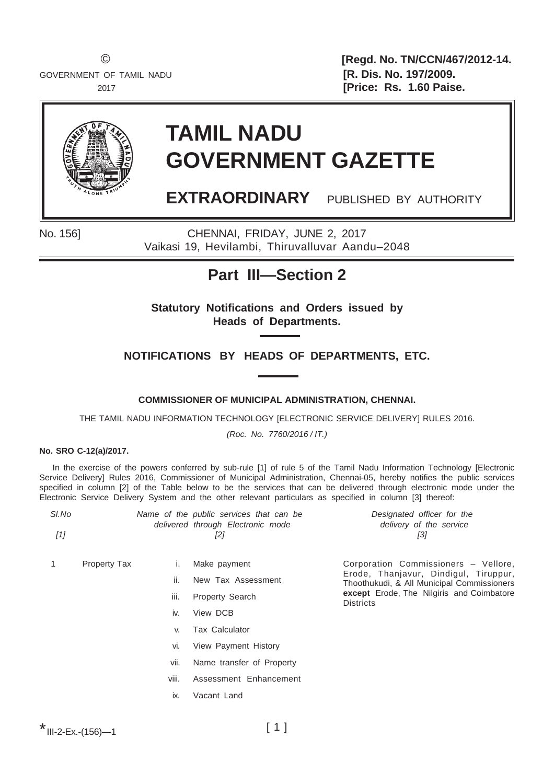GOVERNMENT OF TAMIL NADU **EXECUTE: [R. Dis. No. 197/2009.** 

© **[Regd. No. TN/CCN/467/2012-14.** 2017 **[Price: Rs. 1.60 Paise.**



# **TAMIL NADU GOVERNMENT GAZETTE**

**EXTRAORDINARY** PUBLISHED BY AUTHORITY

No. 156] CHENNAI, FRIDAY, JUNE 2, 2017 Vaikasi 19, Hevilambi, Thiruvalluvar Aandu–2048

### **Part III—Section 2**

**Statutory Notifications and Orders issued by Heads of Departments.**

**NOTIFICATIONS BY HEADS OF DEPARTMENTS, ETC.**

**COMMISSIONER OF MUNICIPAL ADMINISTRATION, CHENNAI.**

THE TAMIL NADU INFORMATION TECHNOLOGY [ELECTRONIC SERVICE DELIVERY] RULES 2016.

*(Roc. No. 7760/2016 / IT.)*

#### **No. SRO C-12(a)/2017.**

In the exercise of the powers conferred by sub-rule [1] of rule 5 of the Tamil Nadu Information Technology [Electronic Service Delivery] Rules 2016, Commissioner of Municipal Administration, Chennai-05, hereby notifies the public services specified in column [2] of the Table below to be the services that can be delivered through electronic mode under the Electronic Service Delivery System and the other relevant particulars as specified in column [3] thereof:

| Designated officer for the<br>Name of the public services that can be |
|-----------------------------------------------------------------------|
| delivery of the service                                               |
| 131                                                                   |
|                                                                       |

- 1 Property Tax i. Make payment
- - ii. New Tax Assessment
	- iii. Property Search
	- iv. View DCB
	- v. Tax Calculator
	- vi. View Payment History
	- vii. Name transfer of Property
	- viii. Assessment Enhancement
	- ix. Vacant Land

\* III-2-Ex.-(156)—1

Corporation Commissioners – Vellore, Erode, Thanjavur, Dindigul, Tiruppur, Thoothukudi, & All Municipal Commissioners **except** Erode, The Nilgiris and Coimbatore **Districts**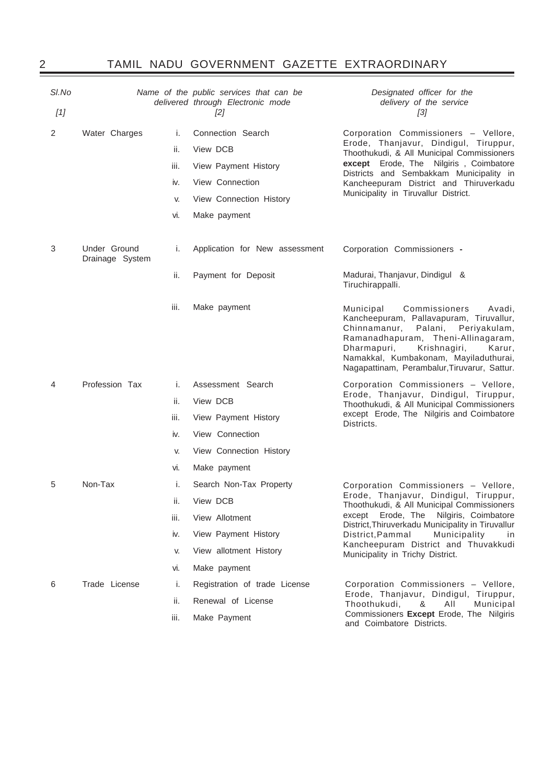## 2 TAMIL NADU GOVERNMENT GAZETTE EXTRAORDINARY

| SI.No |                                 |      | Name of the public services that can be<br>delivered through Electronic mode | Designated officer for the<br>delivery of the service                                                                                                                                                                                                                                           |
|-------|---------------------------------|------|------------------------------------------------------------------------------|-------------------------------------------------------------------------------------------------------------------------------------------------------------------------------------------------------------------------------------------------------------------------------------------------|
| $[1]$ |                                 |      | [2]                                                                          | [3]                                                                                                                                                                                                                                                                                             |
| 2     | Water Charges                   | i.   | Connection Search                                                            | Corporation Commissioners - Vellore,                                                                                                                                                                                                                                                            |
|       |                                 | ii.  | View DCB                                                                     | Erode, Thanjavur, Dindigul, Tiruppur,<br>Thoothukudi, & All Municipal Commissioners                                                                                                                                                                                                             |
|       |                                 | iii. | View Payment History                                                         | except Erode, The Nilgiris, Coimbatore<br>Districts and Sembakkam Municipality in                                                                                                                                                                                                               |
|       |                                 | iv.  | View Connection                                                              | Kancheepuram District and Thiruverkadu                                                                                                                                                                                                                                                          |
|       |                                 | V.   | View Connection History                                                      | Municipality in Tiruvallur District.                                                                                                                                                                                                                                                            |
|       |                                 | vi.  | Make payment                                                                 |                                                                                                                                                                                                                                                                                                 |
| 3     | Under Ground<br>Drainage System | i.   | Application for New assessment                                               | Corporation Commissioners -                                                                                                                                                                                                                                                                     |
|       |                                 | ii.  | Payment for Deposit                                                          | Madurai, Thanjavur, Dindigul &<br>Tiruchirappalli.                                                                                                                                                                                                                                              |
|       |                                 | iii. | Make payment                                                                 | Commissioners<br>Municipal<br>Avadi,<br>Kancheepuram, Pallavapuram, Tiruvallur,<br>Palani, Periyakulam,<br>Chinnamanur,<br>Ramanadhapuram, Theni-Allinagaram,<br>Krishnagiri,<br>Dharmapuri,<br>Karur,<br>Namakkal, Kumbakonam, Mayiladuthurai,<br>Nagapattinam, Perambalur, Tiruvarur, Sattur. |
| 4     | Profession Tax                  | i.   | Assessment Search                                                            | Corporation Commissioners - Vellore,                                                                                                                                                                                                                                                            |
|       |                                 | ii.  | View DCB                                                                     | Erode, Thanjavur, Dindigul, Tiruppur,<br>Thoothukudi, & All Municipal Commissioners                                                                                                                                                                                                             |
|       |                                 | iii. | View Payment History                                                         | except Erode, The Nilgiris and Coimbatore<br>Districts.                                                                                                                                                                                                                                         |
|       |                                 | iv.  | View Connection                                                              |                                                                                                                                                                                                                                                                                                 |
|       |                                 | V.   | View Connection History                                                      |                                                                                                                                                                                                                                                                                                 |
|       |                                 | VI.  | Make payment                                                                 |                                                                                                                                                                                                                                                                                                 |
| 5     | Non-Tax                         | i.   | Search Non-Tax Property                                                      | Corporation Commissioners - Vellore,                                                                                                                                                                                                                                                            |
|       |                                 | ii.  | View DCB                                                                     | Erode, Thanjavur, Dindigul, Tiruppur,<br>Thoothukudi, & All Municipal Commissioners                                                                                                                                                                                                             |
|       |                                 | iii. | View Allotment                                                               | Erode, The<br>Nilgiris, Coimbatore<br>except<br>District, Thiruverkadu Municipality in Tiruvallur                                                                                                                                                                                               |
|       |                                 | iv.  | View Payment History                                                         | Municipality<br>District, Pammal<br>in                                                                                                                                                                                                                                                          |
|       |                                 | V.   | View allotment History                                                       | Kancheepuram District and Thuvakkudi<br>Municipality in Trichy District.                                                                                                                                                                                                                        |
|       |                                 | vi.  | Make payment                                                                 |                                                                                                                                                                                                                                                                                                 |
| 6     | Trade License                   | i.   | Registration of trade License                                                | Corporation Commissioners - Vellore,<br>Erode, Thanjavur, Dindigul, Tiruppur,                                                                                                                                                                                                                   |
|       |                                 | ii.  | Renewal of License                                                           | Thoothukudi,<br>&<br>AII<br>Municipal                                                                                                                                                                                                                                                           |
|       |                                 | iii. | Make Payment                                                                 | Commissioners Except Erode, The Nilgiris<br>and Coimbatore Districts.                                                                                                                                                                                                                           |